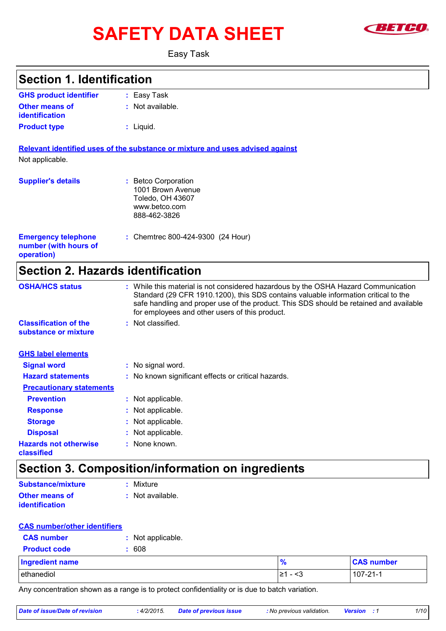# SAFETY DATA SHEET **SAFETY**



Easy Task

| <b>Section 1. Identification</b>                                  |                                                                                                                                                                                                                                                                                                                       |  |
|-------------------------------------------------------------------|-----------------------------------------------------------------------------------------------------------------------------------------------------------------------------------------------------------------------------------------------------------------------------------------------------------------------|--|
| <b>GHS product identifier</b>                                     | Easy Task                                                                                                                                                                                                                                                                                                             |  |
| <b>Other means of</b><br><b>identification</b>                    | : Not available.                                                                                                                                                                                                                                                                                                      |  |
| <b>Product type</b>                                               | $:$ Liquid.                                                                                                                                                                                                                                                                                                           |  |
|                                                                   | Relevant identified uses of the substance or mixture and uses advised against                                                                                                                                                                                                                                         |  |
| Not applicable.                                                   |                                                                                                                                                                                                                                                                                                                       |  |
| <b>Supplier's details</b>                                         | <b>Betco Corporation</b><br>1001 Brown Avenue<br>Toledo, OH 43607<br>www.betco.com<br>888-462-3826                                                                                                                                                                                                                    |  |
| <b>Emergency telephone</b><br>number (with hours of<br>operation) | : Chemtrec 800-424-9300 (24 Hour)                                                                                                                                                                                                                                                                                     |  |
| <b>Section 2. Hazards identification</b>                          |                                                                                                                                                                                                                                                                                                                       |  |
| <b>OSHA/HCS status</b>                                            | : While this material is not considered hazardous by the OSHA Hazard Communication<br>Standard (29 CFR 1910.1200), this SDS contains valuable information critical to the<br>safe handling and proper use of the product. This SDS should be retained and available<br>for employees and other users of this product. |  |
| <b>Classification of the</b><br>substance or mixture              | : Not classified.                                                                                                                                                                                                                                                                                                     |  |
| <b>GHS label elements</b>                                         |                                                                                                                                                                                                                                                                                                                       |  |
| <b>Signal word</b>                                                | : No signal word.                                                                                                                                                                                                                                                                                                     |  |

| <b>Hazard statements</b>                   | : No known significant effects or critical hazards. |
|--------------------------------------------|-----------------------------------------------------|
| <b>Precautionary statements</b>            |                                                     |
| <b>Prevention</b>                          | : Not applicable.                                   |
| <b>Response</b>                            | : Not applicable.                                   |
| <b>Storage</b>                             | : Not applicable.                                   |
| <b>Disposal</b>                            | : Not applicable.                                   |
| <b>Hazards not otherwise</b><br>classified | : None known.                                       |

### **Section 3. Composition/information on ingredients**

| Substance/mixture     | : Mixture        |
|-----------------------|------------------|
| <b>Other means of</b> | : Not available. |
| <i>identification</i> |                  |

#### **CAS number/other identifiers**

| <b>CAS number</b>   | : Not applicable. |               |                   |
|---------------------|-------------------|---------------|-------------------|
| <b>Product code</b> | 608               |               |                   |
| Ingredient name     |                   | $\frac{9}{6}$ | <b>CAS number</b> |
| ethanediol          |                   | I≥1 - <3      | $107 - 21 - 1$    |

Any concentration shown as a range is to protect confidentiality or is due to batch variation.

| Date of issue/Date of revision | 4/2/2015 | Date of previous issue | : No previous validation. | <b>Version</b> | 1/10 |
|--------------------------------|----------|------------------------|---------------------------|----------------|------|
|                                |          |                        |                           |                |      |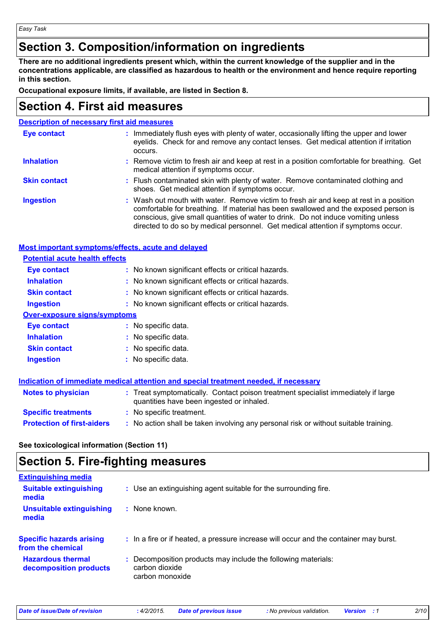### **Section 3. Composition/information on ingredients**

**There are no additional ingredients present which, within the current knowledge of the supplier and in the concentrations applicable, are classified as hazardous to health or the environment and hence require reporting in this section.**

**Occupational exposure limits, if available, are listed in Section 8.**

### **Section 4. First aid measures**

| <b>Description of necessary first aid measures</b> |                                                                                                                                                                                                                                                                                                                                                        |  |
|----------------------------------------------------|--------------------------------------------------------------------------------------------------------------------------------------------------------------------------------------------------------------------------------------------------------------------------------------------------------------------------------------------------------|--|
| <b>Eye contact</b>                                 | : Immediately flush eyes with plenty of water, occasionally lifting the upper and lower<br>eyelids. Check for and remove any contact lenses. Get medical attention if irritation<br>occurs.                                                                                                                                                            |  |
| <b>Inhalation</b>                                  | : Remove victim to fresh air and keep at rest in a position comfortable for breathing. Get<br>medical attention if symptoms occur.                                                                                                                                                                                                                     |  |
| <b>Skin contact</b>                                | : Flush contaminated skin with plenty of water. Remove contaminated clothing and<br>shoes. Get medical attention if symptoms occur.                                                                                                                                                                                                                    |  |
| <b>Ingestion</b>                                   | : Wash out mouth with water. Remove victim to fresh air and keep at rest in a position<br>comfortable for breathing. If material has been swallowed and the exposed person is<br>conscious, give small quantities of water to drink. Do not induce vomiting unless<br>directed to do so by medical personnel. Get medical attention if symptoms occur. |  |

#### **Most important symptoms/effects, acute and delayed**

| <b>Potential acute health effects</b> |                                                                                                                                |
|---------------------------------------|--------------------------------------------------------------------------------------------------------------------------------|
| <b>Eye contact</b>                    | : No known significant effects or critical hazards.                                                                            |
| <b>Inhalation</b>                     | : No known significant effects or critical hazards.                                                                            |
| <b>Skin contact</b>                   | : No known significant effects or critical hazards.                                                                            |
| <b>Ingestion</b>                      | : No known significant effects or critical hazards.                                                                            |
| <b>Over-exposure signs/symptoms</b>   |                                                                                                                                |
| Eye contact                           | : No specific data.                                                                                                            |
| <b>Inhalation</b>                     | : No specific data.                                                                                                            |
| <b>Skin contact</b>                   | : No specific data.                                                                                                            |
| <b>Ingestion</b>                      | : No specific data.                                                                                                            |
|                                       | <u>Indication of immediate medical attention and special treatment needed, if necessary</u>                                    |
| <b>Notes to physician</b>             | : Treat symptomatically. Contact poison treatment specialist immediately if large<br>quantities have been ingested or inhaled. |
| <b>Specific treatments</b>            | : No specific treatment.                                                                                                       |

**See toxicological information (Section 11)**

### **Section 5. Fire-fighting measures**

| <b>Extinguishing media</b>                           |                                                                                                  |
|------------------------------------------------------|--------------------------------------------------------------------------------------------------|
| <b>Suitable extinguishing</b><br>media               | : Use an extinguishing agent suitable for the surrounding fire.                                  |
| <b>Unsuitable extinguishing</b><br>media             | $:$ None known.                                                                                  |
| <b>Specific hazards arising</b><br>from the chemical | : In a fire or if heated, a pressure increase will occur and the container may burst.            |
| <b>Hazardous thermal</b><br>decomposition products   | Decomposition products may include the following materials:<br>carbon dioxide<br>carbon monoxide |
|                                                      |                                                                                                  |

**Protection of first-aiders** : No action shall be taken involving any personal risk or without suitable training.

*Date of issue/Date of revision* **:** *4/2/2015. Date of previous issue : No previous validation. Version : 1 2/10*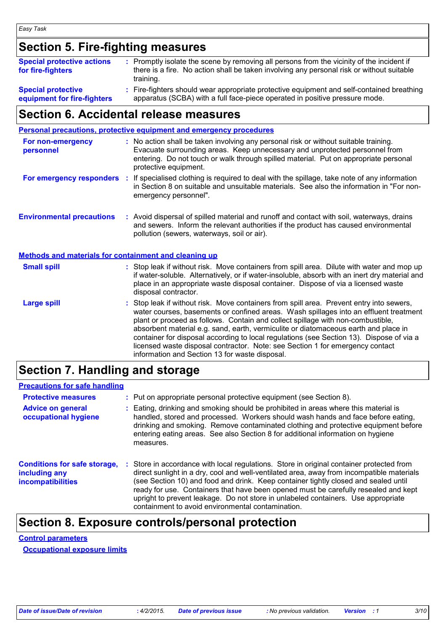### **Section 5. Fire-fighting measures**

| <b>Special protective actions</b><br>for fire-fighters | : Promptly isolate the scene by removing all persons from the vicinity of the incident if<br>there is a fire. No action shall be taken involving any personal risk or without suitable<br>training. |
|--------------------------------------------------------|-----------------------------------------------------------------------------------------------------------------------------------------------------------------------------------------------------|
| <b>Special protective</b>                              | : Fire-fighters should wear appropriate protective equipment and self-contained breathing                                                                                                           |
| equipment for fire-fighters                            | apparatus (SCBA) with a full face-piece operated in positive pressure mode.                                                                                                                         |

## **Section 6. Accidental release measures**

#### **Environmental precautions Personal precautions, protective equipment and emergency procedures** : Stop leak if without risk. Move containers from spill area. Prevent entry into sewers, water courses, basements or confined areas. Wash spillages into an effluent treatment plant or proceed as follows. Contain and collect spillage with non-combustible, absorbent material e.g. sand, earth, vermiculite or diatomaceous earth and place in container for disposal according to local regulations (see Section 13). Dispose of via a licensed waste disposal contractor. Note: see Section 1 for emergency contact information and Section 13 for waste disposal. **:** Avoid dispersal of spilled material and runoff and contact with soil, waterways, drains **:** No action shall be taken involving any personal risk or without suitable training. Evacuate surrounding areas. Keep unnecessary and unprotected personnel from entering. Do not touch or walk through spilled material. Put on appropriate personal protective equipment. and sewers. Inform the relevant authorities if the product has caused environmental pollution (sewers, waterways, soil or air). **Large spill :** Stop leak if without risk. Move containers from spill area. Dilute with water and mop up if water-soluble. Alternatively, or if water-insoluble, absorb with an inert dry material and place in an appropriate waste disposal container. Dispose of via a licensed waste disposal contractor. **Small spill : Methods and materials for containment and cleaning up For non-emergency personnel For emergency responders** : If specialised clothing is required to deal with the spillage, take note of any information in Section 8 on suitable and unsuitable materials. See also the information in "For nonemergency personnel".

### **Section 7. Handling and storage**

#### **Precautions for safe handling**

| <b>Protective measures</b><br><b>Advice on general</b><br>occupational hygiene | : Put on appropriate personal protective equipment (see Section 8).<br>Eating, drinking and smoking should be prohibited in areas where this material is<br>handled, stored and processed. Workers should wash hands and face before eating,<br>drinking and smoking. Remove contaminated clothing and protective equipment before<br>entering eating areas. See also Section 8 for additional information on hygiene<br>measures.                                                                          |
|--------------------------------------------------------------------------------|-------------------------------------------------------------------------------------------------------------------------------------------------------------------------------------------------------------------------------------------------------------------------------------------------------------------------------------------------------------------------------------------------------------------------------------------------------------------------------------------------------------|
| <b>Conditions for safe storage,</b><br>including any<br>incompatibilities      | Store in accordance with local regulations. Store in original container protected from<br>direct sunlight in a dry, cool and well-ventilated area, away from incompatible materials<br>(see Section 10) and food and drink. Keep container tightly closed and sealed until<br>ready for use. Containers that have been opened must be carefully resealed and kept<br>upright to prevent leakage. Do not store in unlabeled containers. Use appropriate<br>containment to avoid environmental contamination. |

### **Section 8. Exposure controls/personal protection**

### **Control parameters**

**Occupational exposure limits**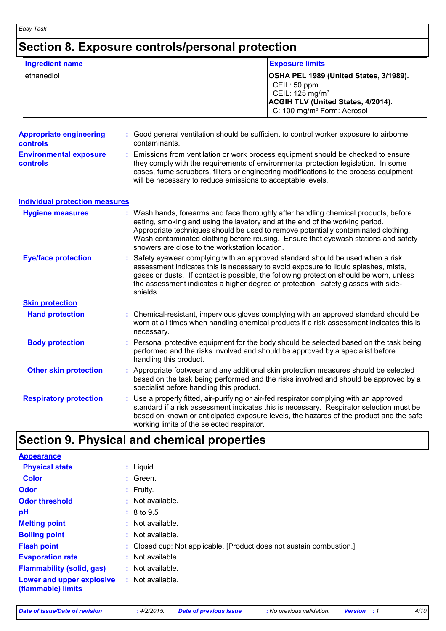## **Section 8. Exposure controls/personal protection**

| <b>Ingredient name</b>                            | <b>Exposure limits</b>                                                                                                                                                                                                                                                                                                                                                                            |  |  |
|---------------------------------------------------|---------------------------------------------------------------------------------------------------------------------------------------------------------------------------------------------------------------------------------------------------------------------------------------------------------------------------------------------------------------------------------------------------|--|--|
| ethanediol                                        | OSHA PEL 1989 (United States, 3/1989).<br>CEIL: 50 ppm<br>CEIL: 125 mg/m <sup>3</sup><br>ACGIH TLV (United States, 4/2014).<br>C: 100 mg/m <sup>3</sup> Form: Aerosol                                                                                                                                                                                                                             |  |  |
| <b>Appropriate engineering</b><br><b>controls</b> | : Good general ventilation should be sufficient to control worker exposure to airborne<br>contaminants.                                                                                                                                                                                                                                                                                           |  |  |
| <b>Environmental exposure</b><br><b>controls</b>  | : Emissions from ventilation or work process equipment should be checked to ensure<br>they comply with the requirements of environmental protection legislation. In some<br>cases, fume scrubbers, filters or engineering modifications to the process equipment<br>will be necessary to reduce emissions to acceptable levels.                                                                   |  |  |
| <b>Individual protection measures</b>             |                                                                                                                                                                                                                                                                                                                                                                                                   |  |  |
| <b>Hygiene measures</b>                           | : Wash hands, forearms and face thoroughly after handling chemical products, before<br>eating, smoking and using the lavatory and at the end of the working period.<br>Appropriate techniques should be used to remove potentially contaminated clothing.<br>Wash contaminated clothing before reusing. Ensure that eyewash stations and safety<br>showers are close to the workstation location. |  |  |
| <b>Eye/face protection</b>                        | Safety eyewear complying with an approved standard should be used when a risk<br>assessment indicates this is necessary to avoid exposure to liquid splashes, mists,<br>gases or dusts. If contact is possible, the following protection should be worn, unless<br>the assessment indicates a higher degree of protection: safety glasses with side-<br>shields.                                  |  |  |
| <b>Skin protection</b>                            |                                                                                                                                                                                                                                                                                                                                                                                                   |  |  |
| <b>Hand protection</b>                            | : Chemical-resistant, impervious gloves complying with an approved standard should be<br>worn at all times when handling chemical products if a risk assessment indicates this is<br>necessary.                                                                                                                                                                                                   |  |  |
| <b>Body protection</b>                            | : Personal protective equipment for the body should be selected based on the task being<br>performed and the risks involved and should be approved by a specialist before<br>handling this product.                                                                                                                                                                                               |  |  |
| <b>Other skin protection</b>                      | : Appropriate footwear and any additional skin protection measures should be selected<br>based on the task being performed and the risks involved and should be approved by a<br>specialist before handling this product.                                                                                                                                                                         |  |  |
| <b>Respiratory protection</b>                     | : Use a properly fitted, air-purifying or air-fed respirator complying with an approved<br>standard if a risk assessment indicates this is necessary. Respirator selection must be<br>based on known or anticipated exposure levels, the hazards of the product and the safe<br>working limits of the selected respirator.                                                                        |  |  |

| <b>Appearance</b>                               |                                                                      |
|-------------------------------------------------|----------------------------------------------------------------------|
| <b>Physical state</b>                           | $:$ Liquid.                                                          |
| <b>Color</b>                                    | $:$ Green.                                                           |
| <b>Odor</b>                                     | $:$ Fruity.                                                          |
| <b>Odor threshold</b>                           | $\therefore$ Not available.                                          |
| pH                                              | : 8 to 9.5                                                           |
| <b>Melting point</b>                            | $:$ Not available.                                                   |
| <b>Boiling point</b>                            | $:$ Not available.                                                   |
| <b>Flash point</b>                              | : Closed cup: Not applicable. [Product does not sustain combustion.] |
| <b>Evaporation rate</b>                         | $:$ Not available.                                                   |
| <b>Flammability (solid, gas)</b>                | $:$ Not available.                                                   |
| Lower and upper explosive<br>(flammable) limits | : Not available.                                                     |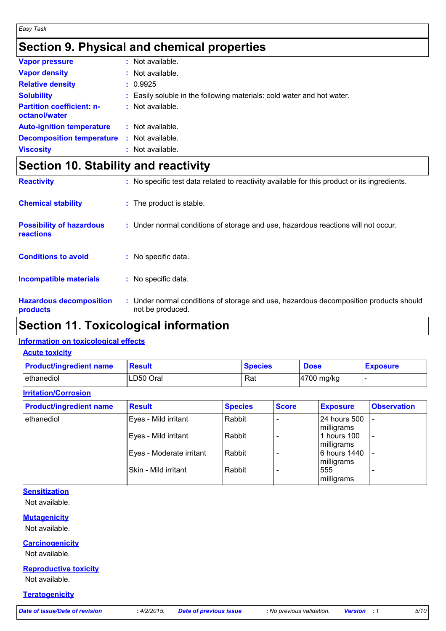### **Section 9. Physical and chemical properties**

| <b>Vapor pressure</b>                             |   | : Not available.                                                       |
|---------------------------------------------------|---|------------------------------------------------------------------------|
| <b>Vapor density</b>                              |   | : Not available.                                                       |
| <b>Relative density</b>                           |   | : 0.9925                                                               |
| <b>Solubility</b>                                 |   | : Easily soluble in the following materials: cold water and hot water. |
| <b>Partition coefficient: n-</b><br>octanol/water |   | $:$ Not available.                                                     |
| <b>Auto-ignition temperature</b>                  |   | $:$ Not available.                                                     |
| <b>Decomposition temperature</b>                  | ÷ | Not available.                                                         |
| <b>Viscosity</b>                                  |   | $:$ Not available.                                                     |

### **Section 10. Stability and reactivity**

| <b>Reactivity</b>                            | : No specific test data related to reactivity available for this product or its ingredients.              |
|----------------------------------------------|-----------------------------------------------------------------------------------------------------------|
| <b>Chemical stability</b>                    | : The product is stable.                                                                                  |
| <b>Possibility of hazardous</b><br>reactions | : Under normal conditions of storage and use, hazardous reactions will not occur.                         |
| <b>Conditions to avoid</b>                   | : No specific data.                                                                                       |
| <b>Incompatible materials</b>                | : No specific data.                                                                                       |
| <b>Hazardous decomposition</b><br>products   | : Under normal conditions of storage and use, hazardous decomposition products should<br>not be produced. |

### **Section 11. Toxicological information**

#### **Information on toxicological effects**

**Acute toxicity**

| <b>Product/ingredient name</b> | <b>Result</b> | <b>Species</b> | <b>Dose</b> | <b>Exposure</b> |
|--------------------------------|---------------|----------------|-------------|-----------------|
| ethanediol                     | LD50 Oral     | Rat            | 4700 mg/kg  |                 |

### **Irritation/Corrosion**

| <b>Product/ingredient name</b> | <b>Result</b>            | <b>Species</b> | <b>Score</b> | <b>Exposure</b>            | <b>Observation</b>       |
|--------------------------------|--------------------------|----------------|--------------|----------------------------|--------------------------|
| lethanediol                    | Eyes - Mild irritant     | Rabbit         |              | 24 hours 500<br>milligrams |                          |
|                                | Eyes - Mild irritant     | Rabbit         |              | 1 hours 100<br>milligrams  | $\overline{\phantom{0}}$ |
|                                | Eyes - Moderate irritant | Rabbit         |              | 6 hours 1440<br>milligrams |                          |
|                                | Skin - Mild irritant     | Rabbit         |              | 555<br>milligrams          | -                        |

#### **Sensitization**

Not available.

#### **Mutagenicity**

Not available.

#### **Carcinogenicity**

Not available.

#### **Reproductive toxicity**

Not available.

#### **Teratogenicity**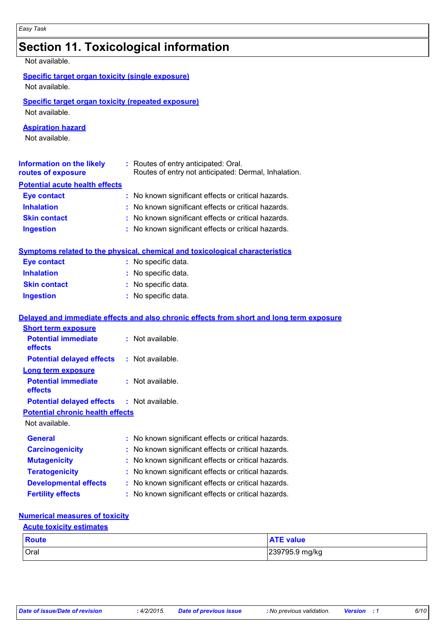### **Section 11. Toxicological information**

Not available.

|  |  |  | Specific target organ toxicity (single exposure) |
|--|--|--|--------------------------------------------------|
|--|--|--|--------------------------------------------------|

Not available.

#### **Specific target organ toxicity (repeated exposure)**

Not available.

#### **Aspiration hazard**

Not available.

| Information on the likely<br>routes of exposure | : Routes of entry anticipated: Oral.<br>Routes of entry not anticipated: Dermal, Inhalation. |
|-------------------------------------------------|----------------------------------------------------------------------------------------------|
| <b>Potential acute health effects</b>           |                                                                                              |
| <b>Eye contact</b>                              | : No known significant effects or critical hazards.                                          |
| <b>Inhalation</b>                               | : No known significant effects or critical hazards.                                          |
| <b>Skin contact</b>                             | : No known significant effects or critical hazards.                                          |
| <b>Ingestion</b>                                | : No known significant effects or critical hazards.                                          |

| <u>Symptoms related to the physical, chemical and toxicological characteristics </u> |
|--------------------------------------------------------------------------------------|
|--------------------------------------------------------------------------------------|

| <b>Eye contact</b>  | : No specific data. |
|---------------------|---------------------|
| <b>Inhalation</b>   | : No specific data. |
| <b>Skin contact</b> | : No specific data. |
| <b>Ingestion</b>    | : No specific data. |

#### Not available. **General :** No known significant effects or critical hazards. **Carcinogenicity** : No known significant effects or critical hazards. **Mutagenicity :** No known significant effects or critical hazards. **Teratogenicity** : No known significant effects or critical hazards. **Developmental effects :** No known significant effects or critical hazards. **Potential chronic health effects Delayed and immediate effects and also chronic effects from short and long term exposure Potential immediate effects :** Not available. **Short term exposure Potential delayed effects :** Not available. **Potential immediate effects :** Not available. **Long term exposure Potential delayed effects :** Not available.

### **Numerical measures of toxicity**

#### **Acute toxicity estimates**

| Route       | <b>ATE value</b> |
|-------------|------------------|
| <b>Oral</b> | 239795.9 mg/kg   |

**Fertility effects :** No known significant effects or critical hazards.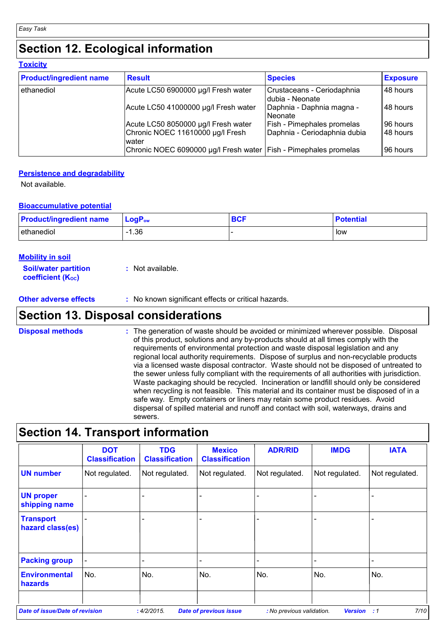### **Section 12. Ecological information**

| <b>Toxicity</b>                |                                                                    |                                               |                 |  |
|--------------------------------|--------------------------------------------------------------------|-----------------------------------------------|-----------------|--|
| <b>Product/ingredient name</b> | <b>Result</b>                                                      | <b>Species</b>                                | <b>Exposure</b> |  |
| ethanediol                     | Acute LC50 6900000 µg/l Fresh water                                | Crustaceans - Ceriodaphnia<br>dubia - Neonate | 48 hours        |  |
|                                | Acute LC50 41000000 µg/l Fresh water                               | Daphnia - Daphnia magna -<br>l Neonate        | 48 hours        |  |
|                                | Acute LC50 8050000 µg/l Fresh water                                | <b>Fish - Pimephales promelas</b>             | 96 hours        |  |
|                                | Chronic NOEC 11610000 µg/l Fresh<br>lwater                         | Daphnia - Ceriodaphnia dubia                  | 48 hours        |  |
|                                | Chronic NOEC 6090000 µg/l Fresh water   Fish - Pimephales promelas |                                               | 96 hours        |  |

#### **Persistence and degradability**

Not available.

#### **Bioaccumulative potential**

| <b>Product/ingredient name</b> | $LogPow$ | <b>BCF</b> | <b>Potential</b> |
|--------------------------------|----------|------------|------------------|
| ethanediol                     | $-1.36$  |            | low              |

| <b>Mobility in soil</b>                                       |                  |
|---------------------------------------------------------------|------------------|
| <b>Soil/water partition</b><br>coefficient (K <sub>oc</sub> ) | : Not available. |

**Other adverse effects** : No known significant effects or critical hazards.

### **Section 13. Disposal considerations**

The generation of waste should be avoided or minimized wherever possible. Disposal of this product, solutions and any by-products should at all times comply with the requirements of environmental protection and waste disposal legislation and any regional local authority requirements. Dispose of surplus and non-recyclable products via a licensed waste disposal contractor. Waste should not be disposed of untreated to the sewer unless fully compliant with the requirements of all authorities with jurisdiction. Waste packaging should be recycled. Incineration or landfill should only be considered when recycling is not feasible. This material and its container must be disposed of in a safe way. Empty containers or liners may retain some product residues. Avoid dispersal of spilled material and runoff and contact with soil, waterways, drains and sewers. **Disposal methods :**

### **Section 14. Transport information**

|                                      | <b>DOT</b><br><b>Classification</b> | <b>TDG</b><br><b>Classification</b> | <b>Mexico</b><br><b>Classification</b> | <b>ADR/RID</b> | <b>IMDG</b>    | <b>IATA</b>    |
|--------------------------------------|-------------------------------------|-------------------------------------|----------------------------------------|----------------|----------------|----------------|
| <b>UN number</b>                     | Not regulated.                      | Not regulated.                      | Not regulated.                         | Not regulated. | Not regulated. | Not regulated. |
| <b>UN proper</b><br>shipping name    |                                     |                                     |                                        |                |                |                |
| <b>Transport</b><br>hazard class(es) |                                     |                                     |                                        |                |                |                |
| <b>Packing group</b>                 |                                     |                                     |                                        |                |                | -              |
| <b>Environmental</b><br>hazards      | No.                                 | No.                                 | No.                                    | No.            | No.            | No.            |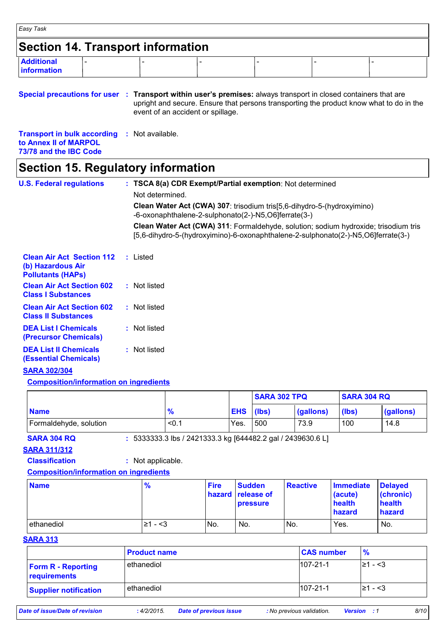| Easy Task                                |  |  |  |  |  |  |  |
|------------------------------------------|--|--|--|--|--|--|--|
| <b>Section 14. Transport information</b> |  |  |  |  |  |  |  |
| <b>Additional</b><br><b>linformation</b> |  |  |  |  |  |  |  |

**Special precautions for user Transport within user's premises:** always transport in closed containers that are **:** upright and secure. Ensure that persons transporting the product know what to do in the event of an accident or spillage.

**Transport in bulk according :** Not available. **to Annex II of MARPOL 73/78 and the IBC Code**

### **Section 15. Regulatory information**

| <b>U.S. Federal regulations</b>                                                   | : TSCA 8(a) CDR Exempt/Partial exemption: Not determined                                                                                                                 |
|-----------------------------------------------------------------------------------|--------------------------------------------------------------------------------------------------------------------------------------------------------------------------|
|                                                                                   | Not determined.                                                                                                                                                          |
|                                                                                   | Clean Water Act (CWA) 307: trisodium tris [5,6-dihydro-5-(hydroxyimino)<br>-6-oxonaphthalene-2-sulphonato(2-)-N5,O6]ferrate(3-)                                          |
|                                                                                   | Clean Water Act (CWA) 311: Formaldehyde, solution; sodium hydroxide; trisodium tris<br>[5,6-dihydro-5-(hydroxyimino)-6-oxonaphthalene-2-sulphonato(2-)-N5,O6]ferrate(3-) |
| <b>Clean Air Act Section 112</b><br>(b) Hazardous Air<br><b>Pollutants (HAPS)</b> | : Listed                                                                                                                                                                 |
| <b>Clean Air Act Section 602</b><br><b>Class I Substances</b>                     | : Not listed                                                                                                                                                             |
| <b>Clean Air Act Section 602</b><br><b>Class II Substances</b>                    | : Not listed                                                                                                                                                             |
| <b>DEA List I Chemicals</b><br>(Precursor Chemicals)                              | : Not listed                                                                                                                                                             |
| <b>DEA List II Chemicals</b><br><b>(Essential Chemicals)</b>                      | : Not listed                                                                                                                                                             |
| <b>BABA BARIARA</b>                                                               |                                                                                                                                                                          |

#### **SARA 302/304**

#### **Composition/information on ingredients**

|                        |               |                  | <b>SARA 302 TPQ</b> |           | <b>SARA 304 RQ</b> |           |
|------------------------|---------------|------------------|---------------------|-----------|--------------------|-----------|
| <b>Name</b>            | $\frac{9}{6}$ | <b>EHS</b> (lbs) |                     | (gallons) | (lbs)              | (gallons) |
| Formaldehyde, solution | $<$ 0.        | Yes.             | 500                 | 73.9      | 100                | 14.8      |

**SARA 304 RQ :** 5333333.3 lbs / 2421333.3 kg [644482.2 gal / 2439630.6 L]

#### **SARA 311/312**

#### **Classification :** Not applicable.

#### **Composition/information on ingredients**

| <b>Name</b> | $\frac{9}{6}$ | <b>Fire</b> | <b>Sudden</b><br>hazard release of<br><b>pressure</b> | <b>Reactive</b> | <b>Immediate</b><br>(acute)<br>health<br>hazard | <b>Delayed</b><br>(chronic)<br>health<br>hazard |
|-------------|---------------|-------------|-------------------------------------------------------|-----------------|-------------------------------------------------|-------------------------------------------------|
| ethanediol  | $≥1 - 3$      | No.         | No.                                                   | No.             | Yes.                                            | No.                                             |

#### **SARA 313**

|                                           | <b>Product name</b> | <b>CAS number</b> | $\frac{9}{6}$     |
|-------------------------------------------|---------------------|-------------------|-------------------|
| <b>Form R - Reporting</b><br>requirements | ethanediol          | $107 - 21 - 1$    | $\geq 1 - \leq 3$ |
| <b>Supplier notification</b>              | ethanediol          | $107 - 21 - 1$    | l≥1 - <3          |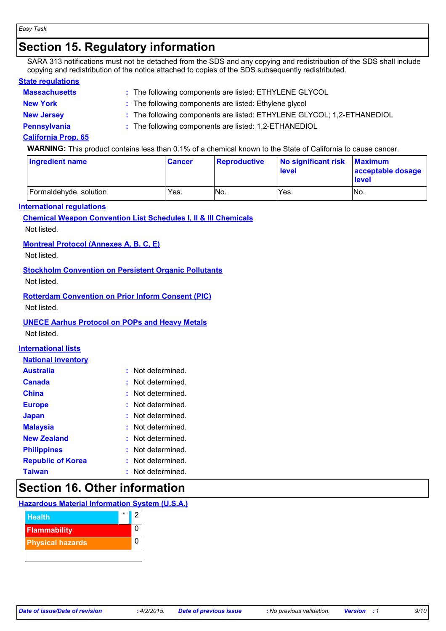### **Section 15. Regulatory information**

SARA 313 notifications must not be detached from the SDS and any copying and redistribution of the SDS shall include copying and redistribution of the notice attached to copies of the SDS subsequently redistributed.

#### **State regulations**

| <b>Massachusetts</b> | : The following components are listed: ETHYLENE GLYCOL                 |
|----------------------|------------------------------------------------------------------------|
| <b>New York</b>      | : The following components are listed: Ethylene glycol                 |
| <b>New Jersey</b>    | : The following components are listed: ETHYLENE GLYCOL; 1,2-ETHANEDIOL |
| <b>Pennsylvania</b>  | : The following components are listed: 1,2-ETHANEDIOL                  |

#### **California Prop. 65**

**WARNING:** This product contains less than 0.1% of a chemical known to the State of California to cause cancer.

| Ingredient name        | <b>Cancer</b> | Reproductive | No significant risk Maximum<br><b>level</b> | acceptable dosage<br><b>level</b> |
|------------------------|---------------|--------------|---------------------------------------------|-----------------------------------|
| Formaldehyde, solution | Yes.          | No.          | Yes.                                        | No.                               |

#### **International regulations**

#### **Chemical Weapon Convention List Schedules I, II & III Chemicals**

Not listed.

#### **Montreal Protocol (Annexes A, B, C, E)**

Not listed.

#### **Stockholm Convention on Persistent Organic Pollutants**

Not listed.

#### **Rotterdam Convention on Prior Inform Consent (PIC)**

Not listed.

#### **UNECE Aarhus Protocol on POPs and Heavy Metals**

Not listed.

#### **International lists**

| <b>Australia</b>         |    | Not determined.   |
|--------------------------|----|-------------------|
| Canada                   |    | : Not determined. |
| <b>China</b>             |    | Not determined.   |
| <b>Europe</b>            | t. | Not determined.   |
| <b>Japan</b>             |    | : Not determined. |
| <b>Malaysia</b>          |    | : Not determined. |
| <b>New Zealand</b>       |    | : Not determined. |
| <b>Philippines</b>       |    | : Not determined. |
| <b>Republic of Korea</b> | t. | Not determined.   |
| <b>Taiwan</b>            |    | : Not determined. |

### **Section 16. Other information**

#### **Hazardous Material Information System (U.S.A.)**